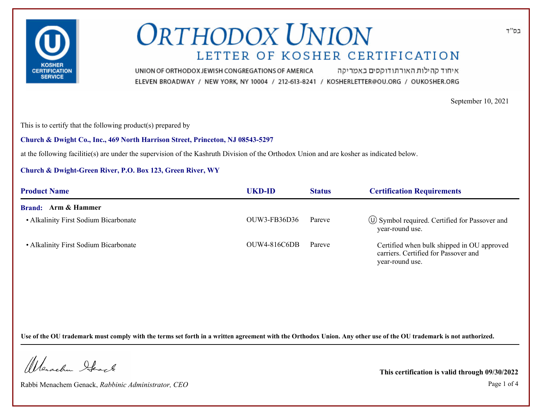

איחוד קהילות האורתודוקסים באמריקה UNION OF ORTHODOX JEWISH CONGREGATIONS OF AMERICA ELEVEN BROADWAY / NEW YORK, NY 10004 / 212-613-8241 / KOSHERLETTER@OU.ORG / OUKOSHER.ORG

September 10, 2021

בס"ד

This is to certify that the following product(s) prepared by

**Church & Dwight Co., Inc., 469 North Harrison Street, Princeton, NJ 08543-5297**

at the following facilitie(s) are under the supervision of the Kashruth Division of the Orthodox Union and are kosher as indicated below.

## **Church & Dwight-Green River, P.O. Box 123, Green River, WY**

| <b>Product Name</b>                   | <b>UKD-ID</b>       | <b>Status</b> | <b>Certification Requirements</b>                                                                     |
|---------------------------------------|---------------------|---------------|-------------------------------------------------------------------------------------------------------|
| <b>Brand:</b> Arm & Hammer            |                     |               |                                                                                                       |
| • Alkalinity First Sodium Bicarbonate | OUW3-FB36D36        | Pareve        | (∪) Symbol required. Certified for Passover and<br>year-round use.                                    |
| • Alkalinity First Sodium Bicarbonate | <b>OUW4-816C6DB</b> | Pareve        | Certified when bulk shipped in OU approved<br>carriers. Certified for Passover and<br>year-round use. |

**Use of the OU trademark must comply with the terms set forth in a written agreement with the Orthodox Union. Any other use of the OU trademark is not authorized.**

Werschn Heart

Rabbi Menachem Genack, *Rabbinic Administrator, CEO* Page 1 of 4

**This certification is valid through 09/30/2022**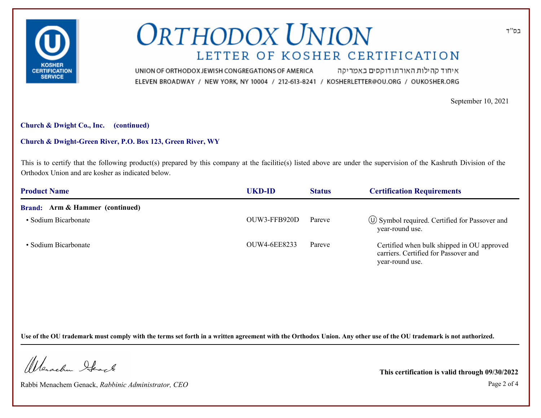

איחוד קהילות האורתודוקסים באמריקה UNION OF ORTHODOX JEWISH CONGREGATIONS OF AMERICA ELEVEN BROADWAY / NEW YORK, NY 10004 / 212-613-8241 / KOSHERLETTER@OU.ORG / OUKOSHER.ORG

September 10, 2021

### **Church & Dwight Co., Inc. (continued)**

#### **Church & Dwight-Green River, P.O. Box 123, Green River, WY**

This is to certify that the following product(s) prepared by this company at the facilitie(s) listed above are under the supervision of the Kashruth Division of the Orthodox Union and are kosher as indicated below.

| <b>Product Name</b>                    | UKD-ID       | <b>Status</b> | <b>Certification Requirements</b>                                                                     |
|----------------------------------------|--------------|---------------|-------------------------------------------------------------------------------------------------------|
| <b>Brand:</b> Arm & Hammer (continued) |              |               |                                                                                                       |
| • Sodium Bicarbonate                   | OUW3-FFB920D | Pareve        | (U) Symbol required. Certified for Passover and<br>year-round use.                                    |
| • Sodium Bicarbonate                   | OUW4-6EE8233 | Pareve        | Certified when bulk shipped in OU approved<br>carriers. Certified for Passover and<br>year-round use. |

**Use of the OU trademark must comply with the terms set forth in a written agreement with the Orthodox Union. Any other use of the OU trademark is not authorized.**

Werachen Ifearle

Rabbi Menachem Genack, *Rabbinic Administrator, CEO* Page 2 of 4

**This certification is valid through 09/30/2022**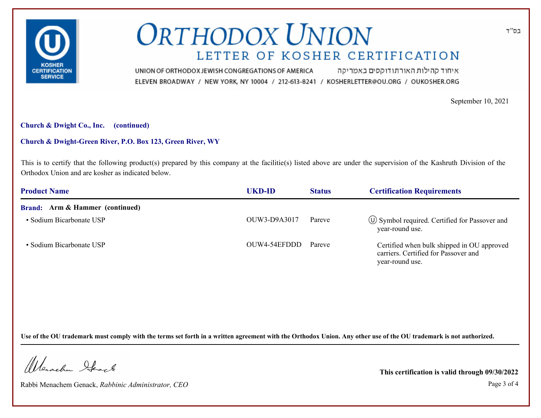

איחוד קהילות האורתודוקסים באמריקה UNION OF ORTHODOX JEWISH CONGREGATIONS OF AMERICA ELEVEN BROADWAY / NEW YORK, NY 10004 / 212-613-8241 / KOSHERLETTER@OU.ORG / OUKOSHER.ORG

September 10, 2021

### **Church & Dwight Co., Inc. (continued)**

### **Church & Dwight-Green River, P.O. Box 123, Green River, WY**

This is to certify that the following product(s) prepared by this company at the facilitie(s) listed above are under the supervision of the Kashruth Division of the Orthodox Union and are kosher as indicated below.

| <b>Product Name</b>                    | <b>UKD-ID</b>       | <b>Status</b> | <b>Certification Requirements</b>                                                                     |
|----------------------------------------|---------------------|---------------|-------------------------------------------------------------------------------------------------------|
| <b>Brand:</b> Arm & Hammer (continued) |                     |               |                                                                                                       |
| • Sodium Bicarbonate USP               | OUW3-D9A3017        | Pareve        | (∪) Symbol required. Certified for Passover and<br>year-round use.                                    |
| • Sodium Bicarbonate USP               | OUW4-54EFDDD Pareve |               | Certified when bulk shipped in OU approved<br>carriers. Certified for Passover and<br>year-round use. |

**Use of the OU trademark must comply with the terms set forth in a written agreement with the Orthodox Union. Any other use of the OU trademark is not authorized.**

Werachen Ifearle

Rabbi Menachem Genack, *Rabbinic Administrator, CEO* Page 3 of 4

**This certification is valid through 09/30/2022**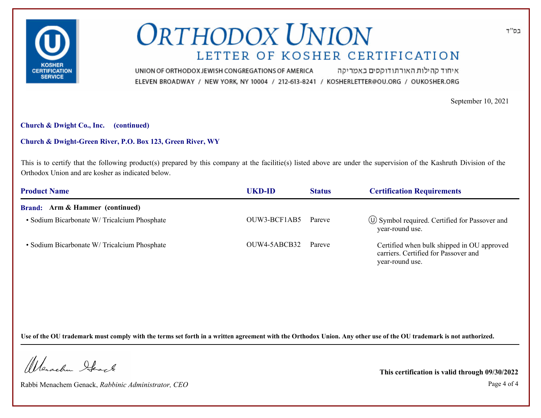

איחוד קהילות האורתודוקסים באמריקה UNION OF ORTHODOX JEWISH CONGREGATIONS OF AMERICA ELEVEN BROADWAY / NEW YORK, NY 10004 / 212-613-8241 / KOSHERLETTER@OU.ORG / OUKOSHER.ORG

September 10, 2021

### **Church & Dwight Co., Inc. (continued)**

#### **Church & Dwight-Green River, P.O. Box 123, Green River, WY**

This is to certify that the following product(s) prepared by this company at the facilitie(s) listed above are under the supervision of the Kashruth Division of the Orthodox Union and are kosher as indicated below.

| <b>Product Name</b>                         | UKD-ID       | <b>Status</b> | <b>Certification Requirements</b>                                                                     |
|---------------------------------------------|--------------|---------------|-------------------------------------------------------------------------------------------------------|
| <b>Brand:</b> Arm & Hammer (continued)      |              |               |                                                                                                       |
| • Sodium Bicarbonate W/Tricalcium Phosphate | OUW3-BCF1AB5 | Pareve        | (∪) Symbol required. Certified for Passover and<br>year-round use.                                    |
| • Sodium Bicarbonate W/Tricalcium Phosphate | OUW4-5ABCB32 | Pareve        | Certified when bulk shipped in OU approved<br>carriers. Certified for Passover and<br>year-round use. |

**Use of the OU trademark must comply with the terms set forth in a written agreement with the Orthodox Union. Any other use of the OU trademark is not authorized.**

Werachen Ifearle

Rabbi Menachem Genack, *Rabbinic Administrator, CEO* Page 4 of 4

**This certification is valid through 09/30/2022**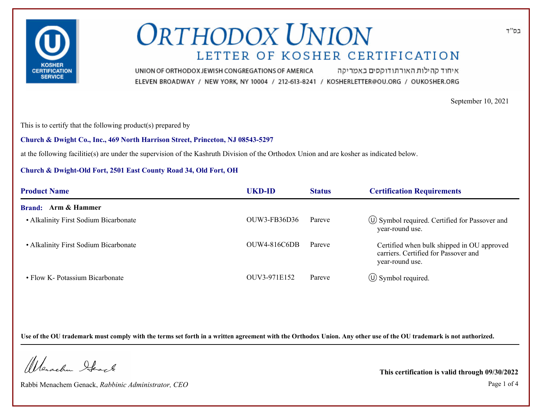

איחוד קהילות האורתודוקסים באמריקה UNION OF ORTHODOX JEWISH CONGREGATIONS OF AMERICA ELEVEN BROADWAY / NEW YORK, NY 10004 / 212-613-8241 / KOSHERLETTER@OU.ORG / OUKOSHER.ORG

September 10, 2021

This is to certify that the following product(s) prepared by

#### **Church & Dwight Co., Inc., 469 North Harrison Street, Princeton, NJ 08543-5297**

at the following facilitie(s) are under the supervision of the Kashruth Division of the Orthodox Union and are kosher as indicated below.

## **Church & Dwight-Old Fort, 2501 East County Road 34, Old Fort, OH**

| <b>Product Name</b>                   | <b>UKD-ID</b> | <b>Status</b> | <b>Certification Requirements</b>                                                                     |
|---------------------------------------|---------------|---------------|-------------------------------------------------------------------------------------------------------|
| <b>Brand:</b> Arm & Hammer            |               |               |                                                                                                       |
| • Alkalinity First Sodium Bicarbonate | OUW3-FB36D36  | Pareve        | $\circ$ Symbol required. Certified for Passover and<br>year-round use.                                |
| • Alkalinity First Sodium Bicarbonate | OUW4-816C6DB  | Pareve        | Certified when bulk shipped in OU approved<br>carriers. Certified for Passover and<br>year-round use. |
| • Flow K- Potassium Bicarbonate       | OUV3-971E152  | Pareve        | $\circ$ Symbol required.                                                                              |

**Use of the OU trademark must comply with the terms set forth in a written agreement with the Orthodox Union. Any other use of the OU trademark is not authorized.**

Werschn Heart

Rabbi Menachem Genack, *Rabbinic Administrator, CEO* Page 1 of 4

**This certification is valid through 09/30/2022**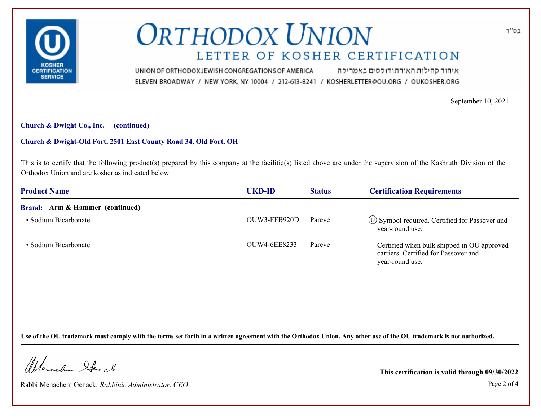

איחוד קהילות האורתודוקסים באמריקה UNION OF ORTHODOX JEWISH CONGREGATIONS OF AMERICA ELEVEN BROADWAY / NEW YORK, NY 10004 / 212-613-8241 / KOSHERLETTER@OU.ORG / OUKOSHER.ORG

September 10, 2021

#### **Church & Dwight Co., Inc. (continued)**

### **Church & Dwight-Old Fort, 2501 East County Road 34, Old Fort, OH**

This is to certify that the following product(s) prepared by this company at the facilitie(s) listed above are under the supervision of the Kashruth Division of the Orthodox Union and are kosher as indicated below.

| <b>Product Name</b>                    | <b>UKD-ID</b> | <b>Status</b> | <b>Certification Requirements</b>                                                                     |
|----------------------------------------|---------------|---------------|-------------------------------------------------------------------------------------------------------|
| <b>Brand:</b> Arm & Hammer (continued) |               |               |                                                                                                       |
| • Sodium Bicarbonate                   | OUW3-FFB920D  | Pareve        | $\circ$ Symbol required. Certified for Passover and<br>year-round use.                                |
| • Sodium Bicarbonate                   | OUW4-6EE8233  | Pareve        | Certified when bulk shipped in OU approved<br>carriers. Certified for Passover and<br>year-round use. |

**Use of the OU trademark must comply with the terms set forth in a written agreement with the Orthodox Union. Any other use of the OU trademark is not authorized.**

Warachen Ifearle

Rabbi Menachem Genack, *Rabbinic Administrator, CEO* Page 2 of 4

**This certification is valid through 09/30/2022**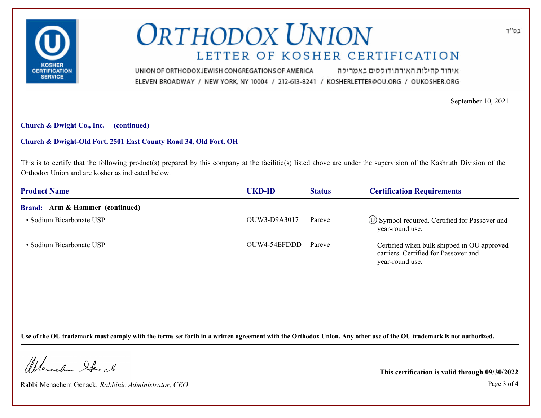

איחוד קהילות האורתודוקסים באמריקה UNION OF ORTHODOX JEWISH CONGREGATIONS OF AMERICA ELEVEN BROADWAY / NEW YORK, NY 10004 / 212-613-8241 / KOSHERLETTER@OU.ORG / OUKOSHER.ORG

September 10, 2021

#### **Church & Dwight Co., Inc. (continued)**

### **Church & Dwight-Old Fort, 2501 East County Road 34, Old Fort, OH**

This is to certify that the following product(s) prepared by this company at the facilitie(s) listed above are under the supervision of the Kashruth Division of the Orthodox Union and are kosher as indicated below.

| <b>Product Name</b>                    | <b>UKD-ID</b>       | <b>Status</b> | <b>Certification Requirements</b>                                                                     |
|----------------------------------------|---------------------|---------------|-------------------------------------------------------------------------------------------------------|
| <b>Brand:</b> Arm & Hammer (continued) |                     |               |                                                                                                       |
| • Sodium Bicarbonate USP               | OUW3-D9A3017        | Pareve        | (∪) Symbol required. Certified for Passover and<br>year-round use.                                    |
| • Sodium Bicarbonate USP               | OUW4-54EFDDD Pareve |               | Certified when bulk shipped in OU approved<br>carriers. Certified for Passover and<br>year-round use. |

**Use of the OU trademark must comply with the terms set forth in a written agreement with the Orthodox Union. Any other use of the OU trademark is not authorized.**

Warachen Ifearle

Rabbi Menachem Genack, *Rabbinic Administrator, CEO* Page 3 of 4

**This certification is valid through 09/30/2022**